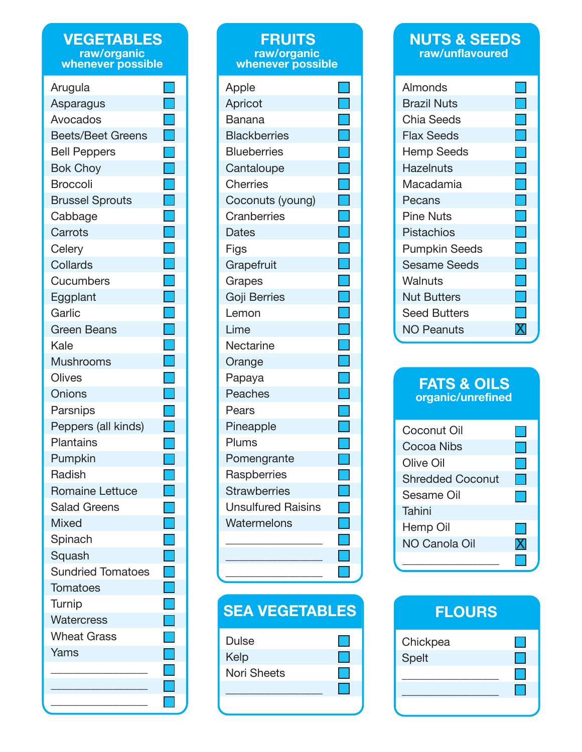### **VEGETABLES raw/organic whenever possible**

| Arugula                  |                                                                                                                       |
|--------------------------|-----------------------------------------------------------------------------------------------------------------------|
| Asparagus                |                                                                                                                       |
| Avocados                 | Ţ                                                                                                                     |
| <b>Beets/Beet Greens</b> | Ξ                                                                                                                     |
| <b>Bell Peppers</b>      |                                                                                                                       |
| <b>Bok Choy</b>          |                                                                                                                       |
| Broccoli                 |                                                                                                                       |
| <b>Brussel Sprouts</b>   | ti<br>1                                                                                                               |
| Cabbage                  | Ţ                                                                                                                     |
| Carrots                  | I.                                                                                                                    |
| Celery                   | e<br>S                                                                                                                |
| <b>Collards</b>          | Г                                                                                                                     |
| Cucumbers                |                                                                                                                       |
| Eggplant                 | $\blacksquare$                                                                                                        |
| Garlic                   |                                                                                                                       |
| <b>Green Beans</b>       | $\Box$                                                                                                                |
| Kale                     | Ξ                                                                                                                     |
| <b>Mushrooms</b>         | T                                                                                                                     |
| Olives                   |                                                                                                                       |
| Onions                   | ٦                                                                                                                     |
| Parsnips                 | <b>Contract Contract Contract Contract Contract Contract Contract Contract Contract Contract Contract Contract Co</b> |
| Peppers (all kinds)      |                                                                                                                       |
| <b>Plantains</b>         |                                                                                                                       |
| Pumpkin                  |                                                                                                                       |
| Radish                   |                                                                                                                       |
| <b>Romaine Lettuce</b>   |                                                                                                                       |
| <b>Salad Greens</b>      |                                                                                                                       |
| <b>Mixed</b>             |                                                                                                                       |
| Spinach                  |                                                                                                                       |
| Squash                   |                                                                                                                       |
| <b>Sundried Tomatoes</b> |                                                                                                                       |
| Tomatoes                 |                                                                                                                       |
| Turnip                   |                                                                                                                       |
| <b>Watercress</b>        |                                                                                                                       |
| <b>Wheat Grass</b>       |                                                                                                                       |
| Yams                     |                                                                                                                       |
|                          |                                                                                                                       |
|                          |                                                                                                                       |
|                          |                                                                                                                       |

### **FRUITS raw/organic whenever possible** Apple Apricot Banana **Blackberries Blueberries Cantaloupe Cherries** Coconuts (young) **Cranberries Dates** Figs **Grapefruit** Grapes Goji Berries Lemon Lime Nectarine Orange Papaya **Peaches** Pears Pineapple Plums Pomengrante **Raspberries Strawberries** Unsulfured Raisins **Watermelons** \_\_\_\_\_\_\_\_\_\_\_\_\_\_\_\_\_ \_\_\_\_\_\_\_\_\_\_\_\_\_\_\_\_\_ ×.

# **SEA VEGETABLES**

\_\_\_\_\_\_\_\_\_\_\_\_\_\_\_\_\_

| Dulse       |  |
|-------------|--|
| Kelp        |  |
| Nori Sheets |  |
|             |  |
|             |  |

### **NUTS & SEEDS raw/unflavoured**

| Almonds              |                                                                                                                       |
|----------------------|-----------------------------------------------------------------------------------------------------------------------|
| <b>Brazil Nuts</b>   |                                                                                                                       |
| Chia Seeds           |                                                                                                                       |
| Flax Seeds           | <b>Service Service</b>                                                                                                |
| <b>Hemp Seeds</b>    |                                                                                                                       |
| Hazelnuts            | and the state of the state of the state of the state of the state of the state of the state of the state of th        |
| Macadamia            | <b>Contract Contract Contract Contract Contract Contract Contract Contract Contract Contract Contract Contract Co</b> |
| Pecans               |                                                                                                                       |
| <b>Pine Nuts</b>     |                                                                                                                       |
| Pistachios           |                                                                                                                       |
| <b>Pumpkin Seeds</b> |                                                                                                                       |
| <b>Sesame Seeds</b>  |                                                                                                                       |
| Walnuts              |                                                                                                                       |
| <b>Nut Butters</b>   |                                                                                                                       |
| <b>Seed Butters</b>  |                                                                                                                       |
| NO Peanuts           |                                                                                                                       |

### **FATS & OILS organic/unrefined**

| Coconut Oil             |  |
|-------------------------|--|
| Cocoa Nibs              |  |
| Olive Oil               |  |
| <b>Shredded Coconut</b> |  |
| Sesame Oil              |  |
| Tahini                  |  |
| Hemp Oil                |  |
| NO Canola Oil           |  |
|                         |  |

| <b>FLOURS</b> |  |
|---------------|--|
| Chickpea      |  |
| <b>Spelt</b>  |  |
|               |  |
|               |  |
|               |  |